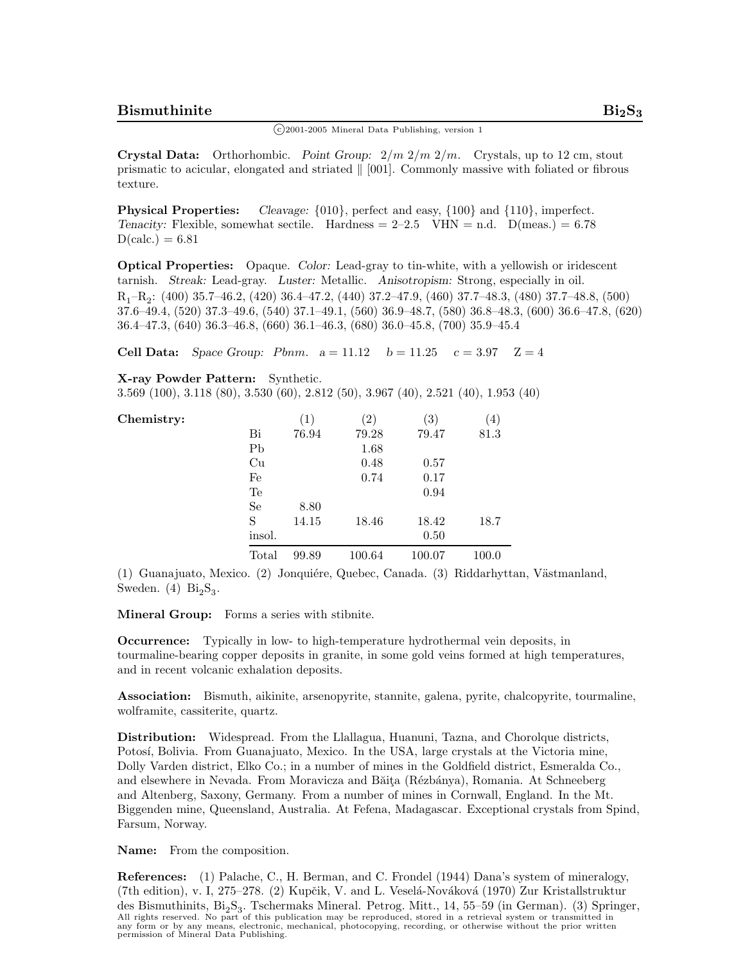$\binom{c}{2001-2005}$  Mineral Data Publishing, version 1

**Crystal Data:** Orthorhombic. *Point Group:* 2*/m* 2*/m* 2*/m.* Crystals, up to 12 cm, stout prismatic to acicular, elongated and striated  $\parallel$  [001]. Commonly massive with foliated or fibrous texture.

**Physical Properties:** *Cleavage:* {010}, perfect and easy, {100} and {110}, imperfect. *Tenacity:* Flexible, somewhat sectile. Hardness  $= 2-2.5$  VHN  $=$  n.d. D(meas.)  $= 6.78$  $D(calc.) = 6.81$ 

**Optical Properties:** Opaque. *Color:* Lead-gray to tin-white, with a yellowish or iridescent tarnish. *Streak:* Lead-gray. *Luster:* Metallic. *Anisotropism:* Strong, especially in oil. R1–R2: (400) 35.7–46.2, (420) 36.4–47.2, (440) 37.2–47.9, (460) 37.7–48.3, (480) 37.7–48.8, (500) 37.6–49.4, (520) 37.3–49.6, (540) 37.1–49.1, (560) 36.9–48.7, (580) 36.8–48.3, (600) 36.6–47.8, (620) 36.4–47.3, (640) 36.3–46.8, (660) 36.1–46.3, (680) 36.0–45.8, (700) 35.9–45.4

**Cell Data:** *Space Group: Pbnm.*  $a = 11.12$   $b = 11.25$   $c = 3.97$   $Z = 4$ 

**X-ray Powder Pattern:** Synthetic.

3.569 (100), 3.118 (80), 3.530 (60), 2.812 (50), 3.967 (40), 2.521 (40), 1.953 (40)

| Chemistry: |               | $\left(1\right)$ | $\left( 2\right)$ | $\left( 3\right)$ | $^{\prime}$ 4) |
|------------|---------------|------------------|-------------------|-------------------|----------------|
|            | Bi            | 76.94            | 79.28             | 79.47             | 81.3           |
|            | Pb            |                  | 1.68              |                   |                |
|            | Cu            |                  | 0.48              | 0.57              |                |
|            | Fe            |                  | 0.74              | 0.17              |                |
|            | Te            |                  |                   | 0.94              |                |
|            | <sub>Se</sub> | 8.80             |                   |                   |                |
|            | S             | 14.15            | 18.46             | 18.42             | 18.7           |
|            | insol.        |                  |                   | 0.50              |                |
|            | Total         | 99.89            | 100.64            | 100.07            | 100.0          |

(1) Guanajuato, Mexico. (2) Jonquiére, Quebec, Canada. (3) Riddarhyttan, Västmanland, Sweden.  $(4)$   $Bi<sub>2</sub>S<sub>3</sub>$ .

**Mineral Group:** Forms a series with stibnite.

**Occurrence:** Typically in low- to high-temperature hydrothermal vein deposits, in tourmaline-bearing copper deposits in granite, in some gold veins formed at high temperatures, and in recent volcanic exhalation deposits.

**Association:** Bismuth, aikinite, arsenopyrite, stannite, galena, pyrite, chalcopyrite, tourmaline, wolframite, cassiterite, quartz.

**Distribution:** Widespread. From the Llallagua, Huanuni, Tazna, and Chorolque districts, Potosí, Bolivia. From Guanajuato, Mexico. In the USA, large crystals at the Victoria mine, Dolly Varden district, Elko Co.; in a number of mines in the Goldfield district, Esmeralda Co., and elsewhere in Nevada. From Moravicza and Băita (Rézbánya), Romania. At Schneeberg and Altenberg, Saxony, Germany. From a number of mines in Cornwall, England. In the Mt. Biggenden mine, Queensland, Australia. At Fefena, Madagascar. Exceptional crystals from Spind, Farsum, Norway.

**Name:** From the composition.

**References:** (1) Palache, C., H. Berman, and C. Frondel (1944) Dana's system of mineralogy, (7th edition), v. I, 275–278. (2) Kupčik, V. and L. Veselá-Nováková (1970) Zur Kristallstruktur des Bismuthinits,  $Bi_2S_3$ . Tschermaks Mineral. Petrog. Mitt., 14, 55–59 (in German). (3) Springer, All rights reserved. No part of this publication may be reproduced, stored in a retrieval system or transmitted in<br>any form or by any means, electronic, mechanical, photocopying, recording, or otherwise without the prior w permission of Mineral Data Publishing.